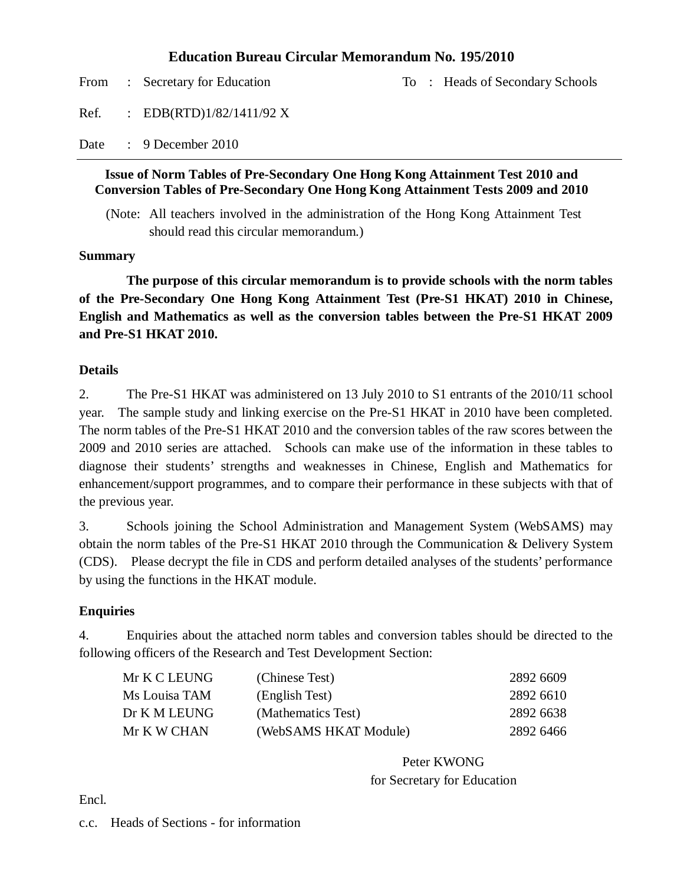#### **Education Bureau Circular Memorandum No. 195/2010**

From : Secretary for Education To : Heads of Secondary Schools Ref. : EDB(RTD)1/82/1411/92 X Date : 9 December 2010

#### **Issue of Norm Tables of Pre-Secondary One Hong Kong Attainment Test 2010 and Conversion Tables of Pre-Secondary One Hong Kong Attainment Tests 2009 and 2010**

(Note: All teachers involved in the administration of the Hong Kong Attainment Test should read this circular memorandum.)

#### **Summary**

**The purpose of this circular memorandum is to provide schools with the norm tables of the Pre-Secondary One Hong Kong Attainment Test (Pre-S1 HKAT) 2010 in Chinese, English and Mathematics as well as the conversion tables between the Pre-S1 HKAT 2009 and Pre-S1 HKAT 2010.** 

#### **Details**

2. The Pre-S1 HKAT was administered on 13 July 2010 to S1 entrants of the 2010/11 school year. The sample study and linking exercise on the Pre-S1 HKAT in 2010 have been completed. The norm tables of the Pre-S1 HKAT 2010 and the conversion tables of the raw scores between the 2009 and 2010 series are attached. Schools can make use of the information in these tables to diagnose their students' strengths and weaknesses in Chinese, English and Mathematics for enhancement/support programmes, and to compare their performance in these subjects with that of the previous year.

3. Schools joining the School Administration and Management System (WebSAMS) may obtain the norm tables of the Pre-S1 HKAT 2010 through the Communication & Delivery System (CDS). Please decrypt the file in CDS and perform detailed analyses of the students' performance by using the functions in the HKAT module.

#### **Enquiries**

4. Enquiries about the attached norm tables and conversion tables should be directed to the following officers of the Research and Test Development Section:

| Mr K C LEUNG  | (Chinese Test)        | 2892 6609 |
|---------------|-----------------------|-----------|
| Ms Louisa TAM | (English Test)        | 2892 6610 |
| Dr K M LEUNG  | (Mathematics Test)    | 2892 6638 |
| Mr K W CHAN   | (WebSAMS HKAT Module) | 2892 6466 |

Peter KWONG for Secretary for Education

Encl.

c.c. Heads of Sections - for information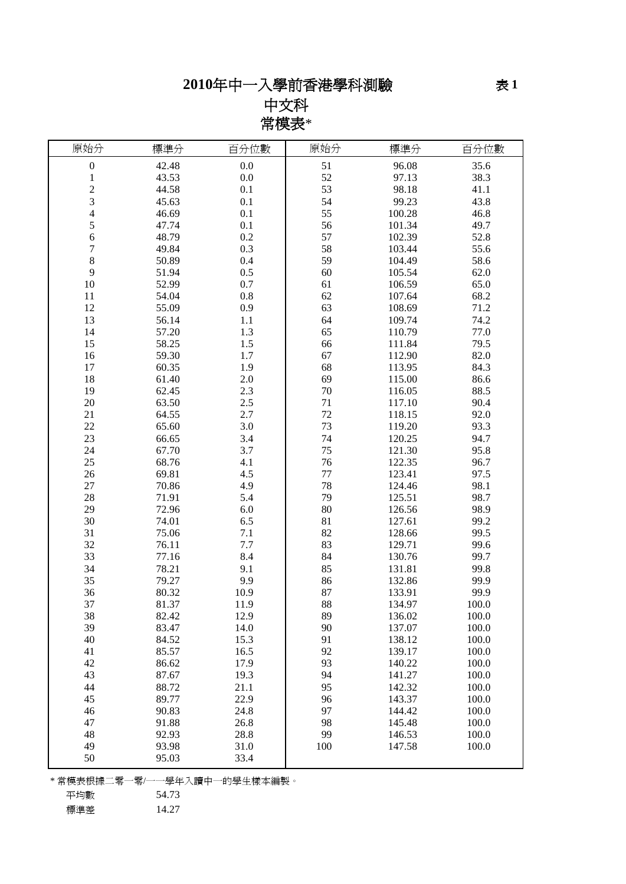# 年中一入學前香港學科測驗

中文科 常模表\*

| 原始分              | 標準分   | 百分位數    | 原始分    | 標準分    | 百分位數  |
|------------------|-------|---------|--------|--------|-------|
| $\boldsymbol{0}$ | 42.48 | 0.0     | 51     | 96.08  | 35.6  |
| $\mathbf{1}$     | 43.53 | 0.0     | 52     | 97.13  | 38.3  |
| $\overline{c}$   | 44.58 | 0.1     | 53     | 98.18  | 41.1  |
| 3                | 45.63 | 0.1     | 54     | 99.23  | 43.8  |
| 4                | 46.69 | 0.1     | 55     | 100.28 | 46.8  |
| 5                | 47.74 | 0.1     | 56     | 101.34 | 49.7  |
| 6                | 48.79 | $0.2\,$ | 57     | 102.39 | 52.8  |
| 7                | 49.84 | 0.3     | 58     | 103.44 | 55.6  |
| 8                | 50.89 | 0.4     | 59     | 104.49 | 58.6  |
| 9                | 51.94 | 0.5     | 60     | 105.54 | 62.0  |
| 10               | 52.99 | 0.7     | 61     | 106.59 | 65.0  |
| 11               | 54.04 | $0.8\,$ | 62     | 107.64 | 68.2  |
| 12               | 55.09 | 0.9     | 63     | 108.69 | 71.2  |
| 13               | 56.14 | 1.1     | 64     | 109.74 | 74.2  |
| 14               | 57.20 | 1.3     | 65     | 110.79 | 77.0  |
| 15               | 58.25 | 1.5     | 66     | 111.84 | 79.5  |
| 16               | 59.30 | 1.7     | 67     | 112.90 | 82.0  |
| 17               | 60.35 | 1.9     | 68     | 113.95 | 84.3  |
| 18               | 61.40 | 2.0     | 69     | 115.00 | 86.6  |
| 19               | 62.45 | 2.3     | $70\,$ | 116.05 | 88.5  |
| 20               | 63.50 | 2.5     | 71     | 117.10 | 90.4  |
| 21               | 64.55 | 2.7     | 72     | 118.15 | 92.0  |
| 22               | 65.60 | 3.0     | 73     | 119.20 | 93.3  |
| 23               | 66.65 | 3.4     | 74     | 120.25 | 94.7  |
| 24               | 67.70 | 3.7     | 75     | 121.30 | 95.8  |
| 25               | 68.76 | 4.1     | 76     | 122.35 | 96.7  |
| 26               | 69.81 | 4.5     | 77     | 123.41 | 97.5  |
| 27               | 70.86 | 4.9     | 78     | 124.46 | 98.1  |
| 28               | 71.91 | 5.4     | 79     | 125.51 | 98.7  |
| 29               | 72.96 | 6.0     | 80     | 126.56 | 98.9  |
| 30               | 74.01 | 6.5     | 81     | 127.61 | 99.2  |
| 31               | 75.06 | 7.1     | 82     | 128.66 | 99.5  |
| 32               | 76.11 | 7.7     | 83     | 129.71 | 99.6  |
| 33               | 77.16 | 8.4     | 84     | 130.76 | 99.7  |
| 34               | 78.21 | 9.1     | 85     | 131.81 | 99.8  |
| 35               | 79.27 | 9.9     | 86     | 132.86 | 99.9  |
| 36               | 80.32 | 10.9    | 87     | 133.91 | 99.9  |
| 37               | 81.37 | 11.9    | 88     | 134.97 | 100.0 |
| 38               | 82.42 | 12.9    | 89     | 136.02 | 100.0 |
| 39               | 83.47 | 14.0    | 90     | 137.07 | 100.0 |
| 40               | 84.52 | 15.3    | 91     | 138.12 | 100.0 |
| 41               | 85.57 | 16.5    | 92     | 139.17 | 100.0 |
| 42               | 86.62 | 17.9    | 93     | 140.22 | 100.0 |
| 43               | 87.67 | 19.3    | 94     | 141.27 | 100.0 |
| 44               | 88.72 | 21.1    | 95     | 142.32 | 100.0 |
| 45               | 89.77 | 22.9    | 96     | 143.37 | 100.0 |
| 46               | 90.83 | 24.8    | 97     | 144.42 | 100.0 |
| 47               | 91.88 | 26.8    | 98     | 145.48 | 100.0 |
| 48               | 92.93 | 28.8    | 99     | 146.53 | 100.0 |
| 49               | 93.98 | 31.0    | 100    | 147.58 | 100.0 |
| 50               | 95.03 | 33.4    |        |        |       |

\* 常模表根據二零一零/一一學年入讀中一的學生樣本編製。

標準差 14.27

平均數 54.73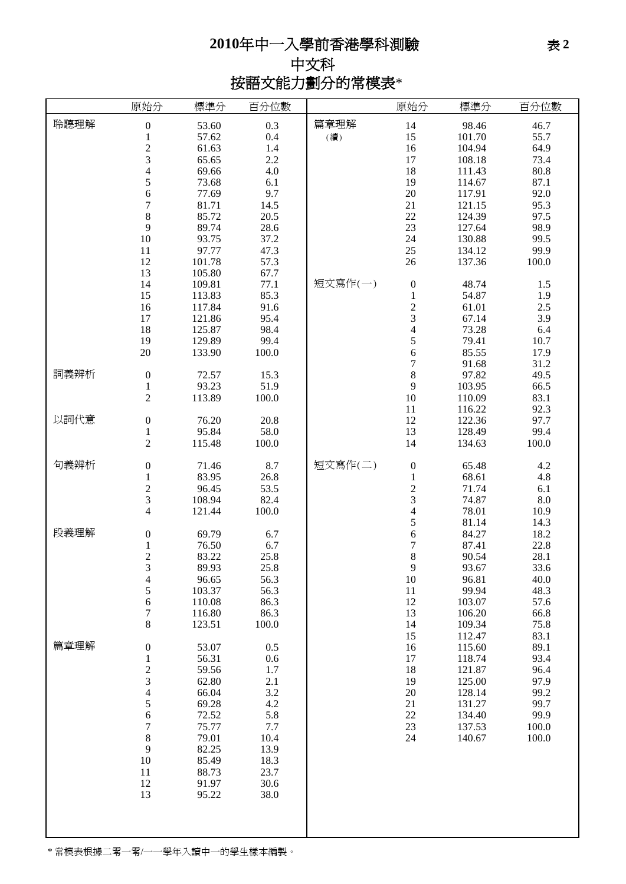# 年中一入學前香港學科測驗

中文科 按語文能力劃分的常模表\*

|      | 原始分                                        | 標準分    | 百分位數  |         | 原始分                      | 標準分    | 百分位數  |
|------|--------------------------------------------|--------|-------|---------|--------------------------|--------|-------|
| 聆聽理解 | $\boldsymbol{0}$                           | 53.60  | 0.3   | 篇章理解    | 14                       | 98.46  | 46.7  |
|      | $\,1$                                      | 57.62  | 0.4   | (續)     | 15                       | 101.70 | 55.7  |
|      |                                            | 61.63  | 1.4   |         | 16                       | 104.94 | 64.9  |
|      | $\frac{2}{3}$                              |        |       |         |                          |        |       |
|      |                                            | 65.65  | 2.2   |         | 17                       | 108.18 | 73.4  |
|      | $\overline{4}$                             | 69.66  | 4.0   |         | 18                       | 111.43 | 80.8  |
|      | 5                                          | 73.68  | 6.1   |         | 19                       | 114.67 | 87.1  |
|      | 6                                          | 77.69  | 9.7   |         | 20                       | 117.91 | 92.0  |
|      | $\sqrt{ }$                                 | 81.71  | 14.5  |         | 21                       | 121.15 | 95.3  |
|      | 8                                          | 85.72  | 20.5  |         | 22                       | 124.39 | 97.5  |
|      | 9                                          |        |       |         |                          |        | 98.9  |
|      |                                            | 89.74  | 28.6  |         | 23                       | 127.64 |       |
|      | 10                                         | 93.75  | 37.2  |         | 24                       | 130.88 | 99.5  |
|      | 11                                         | 97.77  | 47.3  |         | $25\,$                   | 134.12 | 99.9  |
|      | 12                                         | 101.78 | 57.3  |         | 26                       | 137.36 | 100.0 |
|      | 13                                         | 105.80 | 67.7  |         |                          |        |       |
|      | 14                                         | 109.81 | 77.1  | 短文寫作(一) | $\boldsymbol{0}$         | 48.74  | 1.5   |
|      | 15                                         | 113.83 | 85.3  |         | $\,1$                    | 54.87  | 1.9   |
|      | 16                                         | 117.84 | 91.6  |         |                          | 61.01  | 2.5   |
|      |                                            |        |       |         | $\frac{2}{3}$            |        |       |
|      | 17                                         | 121.86 | 95.4  |         |                          | 67.14  | 3.9   |
|      | 18                                         | 125.87 | 98.4  |         | $\overline{\mathcal{L}}$ | 73.28  | 6.4   |
|      | 19                                         | 129.89 | 99.4  |         | 5                        | 79.41  | 10.7  |
|      | 20                                         | 133.90 | 100.0 |         | 6                        | 85.55  | 17.9  |
|      |                                            |        |       |         | $\overline{7}$           | 91.68  | 31.2  |
| 詞義辨析 | $\boldsymbol{0}$                           | 72.57  | 15.3  |         | 8                        | 97.82  | 49.5  |
|      | $\mathbf{1}$                               | 93.23  | 51.9  |         | 9                        | 103.95 | 66.5  |
|      | $\overline{c}$                             | 113.89 | 100.0 |         | 10                       | 110.09 | 83.1  |
|      |                                            |        |       |         |                          |        |       |
|      |                                            |        |       |         | $11\,$                   | 116.22 | 92.3  |
| 以詞代意 | $\boldsymbol{0}$                           | 76.20  | 20.8  |         | 12                       | 122.36 | 97.7  |
|      | $\mathbf{1}$                               | 95.84  | 58.0  |         | 13                       | 128.49 | 99.4  |
|      | $\overline{c}$                             | 115.48 | 100.0 |         | 14                       | 134.63 | 100.0 |
|      |                                            |        |       |         |                          |        |       |
| 句義辨析 | $\boldsymbol{0}$                           | 71.46  | 8.7   | 短文寫作(二) | $\boldsymbol{0}$         | 65.48  | 4.2   |
|      | $\mathbf{1}$                               | 83.95  | 26.8  |         | $\,1$                    | 68.61  | 4.8   |
|      |                                            | 96.45  | 53.5  |         |                          | 71.74  | 6.1   |
|      | $\frac{2}{3}$                              | 108.94 | 82.4  |         | $\frac{2}{3}$            | 74.87  | 8.0   |
|      | $\overline{4}$                             | 121.44 | 100.0 |         | $\overline{\mathcal{L}}$ | 78.01  | 10.9  |
|      |                                            |        |       |         |                          |        |       |
| 段義理解 |                                            |        |       |         | 5                        | 81.14  | 14.3  |
|      | $\boldsymbol{0}$                           | 69.79  | 6.7   |         | 6                        | 84.27  | 18.2  |
|      | $\mathbf{1}$                               | 76.50  | 6.7   |         | $\overline{7}$           | 87.41  | 22.8  |
|      | $\frac{2}{3}$                              | 83.22  | 25.8  |         | 8                        | 90.54  | 28.1  |
|      |                                            | 89.93  | 25.8  |         | 9                        | 93.67  | 33.6  |
|      | $\overline{\mathcal{L}}$                   | 96.65  | 56.3  |         | 10                       | 96.81  | 40.0  |
|      | 5                                          | 103.37 | 56.3  |         | 11                       | 99.94  | 48.3  |
|      | 6                                          | 110.08 | 86.3  |         | 12                       | 103.07 | 57.6  |
|      | $\sqrt{ }$                                 | 116.80 | 86.3  |         | 13                       | 106.20 | 66.8  |
|      |                                            |        |       |         |                          |        |       |
|      | $\,8\,$                                    | 123.51 | 100.0 |         | 14                       | 109.34 | 75.8  |
|      |                                            |        |       |         | 15                       | 112.47 | 83.1  |
| 篇章理解 | $\boldsymbol{0}$                           | 53.07  | 0.5   |         | 16                       | 115.60 | 89.1  |
|      | $\mathbf{1}$                               | 56.31  | 0.6   |         | 17                       | 118.74 | 93.4  |
|      |                                            | 59.56  | 1.7   |         | 18                       | 121.87 | 96.4  |
|      | $\begin{array}{c} 2 \\ 3 \\ 4 \end{array}$ | 62.80  | 2.1   |         | 19                       | 125.00 | 97.9  |
|      |                                            | 66.04  | 3.2   |         | 20                       | 128.14 | 99.2  |
|      | 5                                          | 69.28  | 4.2   |         | 21                       | 131.27 | 99.7  |
|      |                                            |        |       |         |                          |        |       |
|      | 6                                          | 72.52  | 5.8   |         | $22\,$                   | 134.40 | 99.9  |
|      | $\sqrt{ }$                                 | 75.77  | 7.7   |         | 23                       | 137.53 | 100.0 |
|      | $\,8\,$                                    | 79.01  | 10.4  |         | 24                       | 140.67 | 100.0 |
|      | $\boldsymbol{9}$                           | 82.25  | 13.9  |         |                          |        |       |
|      | 10                                         | 85.49  | 18.3  |         |                          |        |       |
|      | 11                                         | 88.73  | 23.7  |         |                          |        |       |
|      | 12                                         | 91.97  | 30.6  |         |                          |        |       |
|      | 13                                         | 95.22  | 38.0  |         |                          |        |       |
|      |                                            |        |       |         |                          |        |       |
|      |                                            |        |       |         |                          |        |       |
|      |                                            |        |       |         |                          |        |       |
|      |                                            |        |       |         |                          |        |       |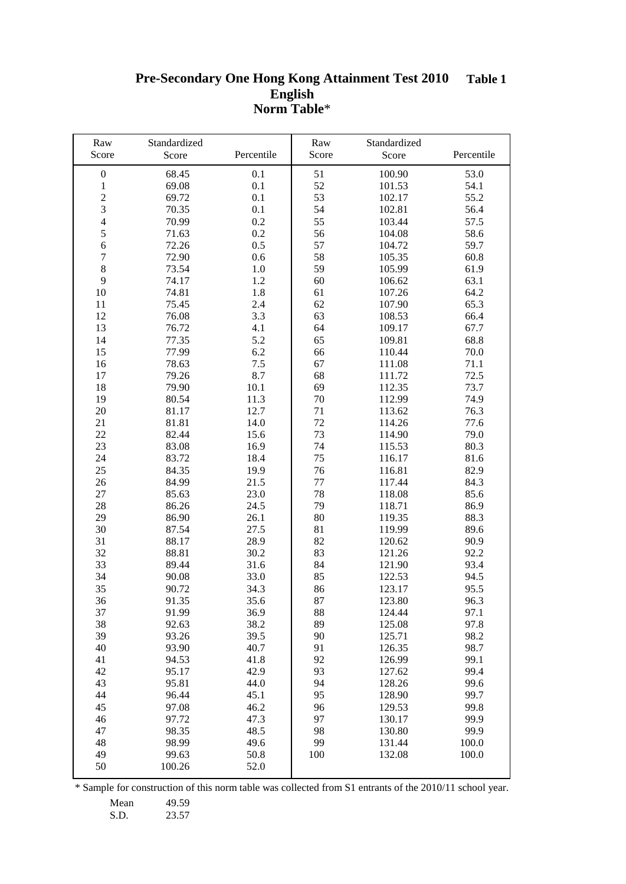#### **Pre-Secondary One Hong Kong Attainment Test 2010 English Norm Table**\* **Table 1**

| Raw              | Standardized |            | Raw    | Standardized |            |
|------------------|--------------|------------|--------|--------------|------------|
| Score            | Score        | Percentile | Score  | Score        | Percentile |
| $\boldsymbol{0}$ | 68.45        | 0.1        | 51     | 100.90       | 53.0       |
| $\mathbf{1}$     | 69.08        | 0.1        | 52     | 101.53       | 54.1       |
| $\overline{c}$   | 69.72        | 0.1        | 53     | 102.17       | 55.2       |
| $\overline{3}$   | 70.35        | 0.1        | 54     | 102.81       | 56.4       |
| $\overline{4}$   | 70.99        | 0.2        | 55     | 103.44       | 57.5       |
| 5                | 71.63        | 0.2        | 56     | 104.08       | 58.6       |
| $\sqrt{6}$       | 72.26        | 0.5        | 57     | 104.72       | 59.7       |
| $\tau$           | 72.90        | 0.6        | 58     | 105.35       | 60.8       |
| $\,8\,$          | 73.54        | 1.0        | 59     | 105.99       | 61.9       |
| 9                | 74.17        | 1.2        | 60     | 106.62       | 63.1       |
| $10\,$           | 74.81        | 1.8        | 61     | 107.26       | 64.2       |
| 11               | 75.45        | 2.4        | 62     | 107.90       | 65.3       |
| 12               | 76.08        | 3.3        | 63     | 108.53       | 66.4       |
| 13               | 76.72        | 4.1        | 64     | 109.17       | 67.7       |
| 14               | 77.35        | 5.2        | 65     | 109.81       | 68.8       |
| 15               | 77.99        | 6.2        | 66     | 110.44       | 70.0       |
| 16               | 78.63        | $7.5$      | 67     | 111.08       | 71.1       |
| 17               | 79.26        | 8.7        | 68     | 111.72       | 72.5       |
| 18               | 79.90        | 10.1       | 69     | 112.35       | 73.7       |
| 19               | 80.54        | 11.3       | 70     | 112.99       | 74.9       |
| 20               | 81.17        | 12.7       | 71     | 113.62       | 76.3       |
| 21               | 81.81        | 14.0       | 72     | 114.26       | 77.6       |
| 22               | 82.44        | 15.6       | 73     | 114.90       | 79.0       |
| 23               | 83.08        | 16.9       | 74     | 115.53       | 80.3       |
| 24               | 83.72        | 18.4       | 75     | 116.17       | 81.6       |
| 25               | 84.35        | 19.9       | 76     | 116.81       | 82.9       |
| 26               | 84.99        | 21.5       | $77\,$ | 117.44       | 84.3       |
| 27               | 85.63        | 23.0       | 78     | 118.08       | 85.6       |
| 28               | 86.26        | 24.5       | 79     | 118.71       | 86.9       |
| 29               | 86.90        | 26.1       | 80     | 119.35       | 88.3       |
| 30               | 87.54        | 27.5       | 81     | 119.99       | 89.6       |
| 31               | 88.17        | 28.9       | 82     | 120.62       | 90.9       |
| 32               | 88.81        | 30.2       | 83     | 121.26       | 92.2       |
| 33               | 89.44        | 31.6       | 84     | 121.90       | 93.4       |
| 34               | 90.08        | 33.0       | 85     | 122.53       | 94.5       |
| 35               | 90.72        | 34.3       | 86     | 123.17       | 95.5       |
| 36               | 91.35        | 35.6       | 87     | 123.80       | 96.3       |
| 37               | 91.99        | 36.9       | 88     | 124.44       | 97.1       |
| 38               | 92.63        | 38.2       | 89     | 125.08       | 97.8       |
| 39               | 93.26        | 39.5       | 90     | 125.71       | 98.2       |
| 40               | 93.90        | 40.7       | 91     | 126.35       | 98.7       |
| 41               | 94.53        | 41.8       | 92     | 126.99       | 99.1       |
| 42               | 95.17        | 42.9       | 93     | 127.62       | 99.4       |
| 43               | 95.81        | 44.0       | 94     | 128.26       | 99.6       |
| 44               | 96.44        | 45.1       | 95     | 128.90       | 99.7       |
| 45               | 97.08        | 46.2       | 96     | 129.53       | 99.8       |
| 46               | 97.72        | 47.3       | 97     | 130.17       | 99.9       |
| 47               | 98.35        | 48.5       | 98     | 130.80       | 99.9       |
| 48               | 98.99        | 49.6       | 99     | 131.44       | 100.0      |
| 49               | 99.63        | 50.8       | 100    | 132.08       | 100.0      |
| 50               | 100.26       | 52.0       |        |              |            |

\* Sample for construction of this norm table was collected from S1 entrants of the 2010/11 school year.

Mean 49.59<br>S.D. 23.57

23.57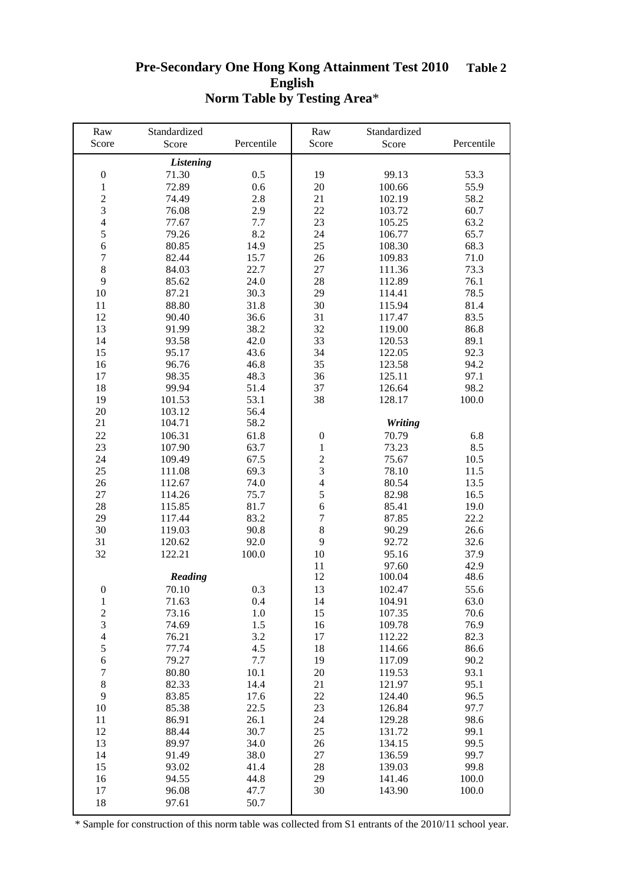#### **Pre-Secondary One Hong Kong Attainment Test 2010 English Norm Table by Testing Area**\* **Table 2**

| Raw              | Standardized     |            | Raw                      | Standardized   |            |
|------------------|------------------|------------|--------------------------|----------------|------------|
| Score            | Score            | Percentile | Score                    | Score          | Percentile |
|                  | <b>Listening</b> |            |                          |                |            |
| $\boldsymbol{0}$ | 71.30            | 0.5        | 19                       | 99.13          | 53.3       |
| $\mathbf{1}$     | 72.89            | 0.6        | 20                       | 100.66         | 55.9       |
| $\sqrt{2}$       | 74.49            | 2.8        | 21                       | 102.19         | 58.2       |
| $\overline{3}$   | 76.08            | 2.9        | 22                       | 103.72         | 60.7       |
| $\overline{4}$   | 77.67            | 7.7        | 23                       | 105.25         | 63.2       |
| 5                | 79.26            | 8.2        | 24                       | 106.77         | 65.7       |
| $\sqrt{6}$       | 80.85            | 14.9       | 25                       | 108.30         | 68.3       |
| $\boldsymbol{7}$ | 82.44            | 15.7       | 26                       | 109.83         | 71.0       |
| $\,8\,$          | 84.03            | 22.7       | 27                       | 111.36         | 73.3       |
| 9                |                  | 24.0       | 28                       |                |            |
|                  | 85.62            |            |                          | 112.89         | 76.1       |
| 10               | 87.21            | 30.3       | 29                       | 114.41         | 78.5       |
| 11               | 88.80            | 31.8       | 30                       | 115.94         | 81.4       |
| 12               | 90.40            | 36.6       | 31                       | 117.47         | 83.5       |
| 13               | 91.99            | 38.2       | 32                       | 119.00         | 86.8       |
| 14               | 93.58            | 42.0       | 33                       | 120.53         | 89.1       |
| 15               | 95.17            | 43.6       | 34                       | 122.05         | 92.3       |
| 16               | 96.76            | 46.8       | 35                       | 123.58         | 94.2       |
| 17               | 98.35            | 48.3       | 36                       | 125.11         | 97.1       |
| 18               | 99.94            | 51.4       | 37                       | 126.64         | 98.2       |
| 19               | 101.53           | 53.1       | 38                       | 128.17         | 100.0      |
| $20\,$           | 103.12           | 56.4       |                          |                |            |
| 21               | 104.71           | 58.2       |                          | <b>Writing</b> |            |
| 22               | 106.31           | 61.8       | $\boldsymbol{0}$         | 70.79          | 6.8        |
| 23               | 107.90           | 63.7       | $\mathbf{1}$             | 73.23          | 8.5        |
| 24               | 109.49           | 67.5       | $\overline{c}$           | 75.67          | 10.5       |
| 25               | 111.08           | 69.3       | $\mathfrak{Z}$           | 78.10          | 11.5       |
| 26               | 112.67           | 74.0       | $\overline{\mathcal{L}}$ | 80.54          | 13.5       |
| 27               | 114.26           | 75.7       | 5                        | 82.98          | 16.5       |
| 28               | 115.85           | 81.7       | 6                        | 85.41          | 19.0       |
| 29               | 117.44           | 83.2       | $\boldsymbol{7}$         | 87.85          | 22.2       |
| 30               | 119.03           | 90.8       | $\,8\,$                  | 90.29          | 26.6       |
| 31               | 120.62           | 92.0       | 9                        | 92.72          | 32.6       |
| 32               | 122.21           | 100.0      | 10                       | 95.16          | 37.9       |
|                  |                  |            | 11                       | 97.60          | 42.9       |
|                  | <b>Reading</b>   |            | 12                       | 100.04         | 48.6       |
| $\overline{0}$   | 70.10            | 0.3        | 13                       | 102.47         | 55.6       |
| $\mathbf{1}$     | 71.63            | 0.4        | 14                       | 104.91         | 63.0       |
| $\overline{c}$   | 73.16            | 1.0        | 15                       | 107.35         | 70.6       |
| 3                | 74.69            | 1.5        | 16                       | 109.78         | 76.9       |
| $\overline{4}$   | 76.21            | 3.2        | 17                       | 112.22         | 82.3       |
| $\sqrt{5}$       | 77.74            | 4.5        | 18                       | 114.66         | 86.6       |
| $\sqrt{6}$       | 79.27            | 7.7        | 19                       | 117.09         | 90.2       |
| $\tau$           | 80.80            | 10.1       | 20                       | 119.53         | 93.1       |
| $\,8\,$          | 82.33            | 14.4       | 21                       | 121.97         | 95.1       |
| 9                |                  |            | 22                       |                |            |
|                  | 83.85            | 17.6       |                          | 124.40         | 96.5       |
| 10               | 85.38            | 22.5       | 23                       | 126.84         | 97.7       |
| 11               | 86.91            | 26.1       | 24                       | 129.28         | 98.6       |
| 12               | 88.44            | 30.7       | 25                       | 131.72         | 99.1       |
| 13               | 89.97            | 34.0       | 26                       | 134.15         | 99.5       |
| 14               | 91.49            | 38.0       | 27                       | 136.59         | 99.7       |
| 15               | 93.02            | 41.4       | 28                       | 139.03         | 99.8       |
| 16               | 94.55            | 44.8       | 29                       | 141.46         | 100.0      |
| 17               | 96.08            | 47.7       | 30                       | 143.90         | 100.0      |
| 18               | 97.61            | 50.7       |                          |                |            |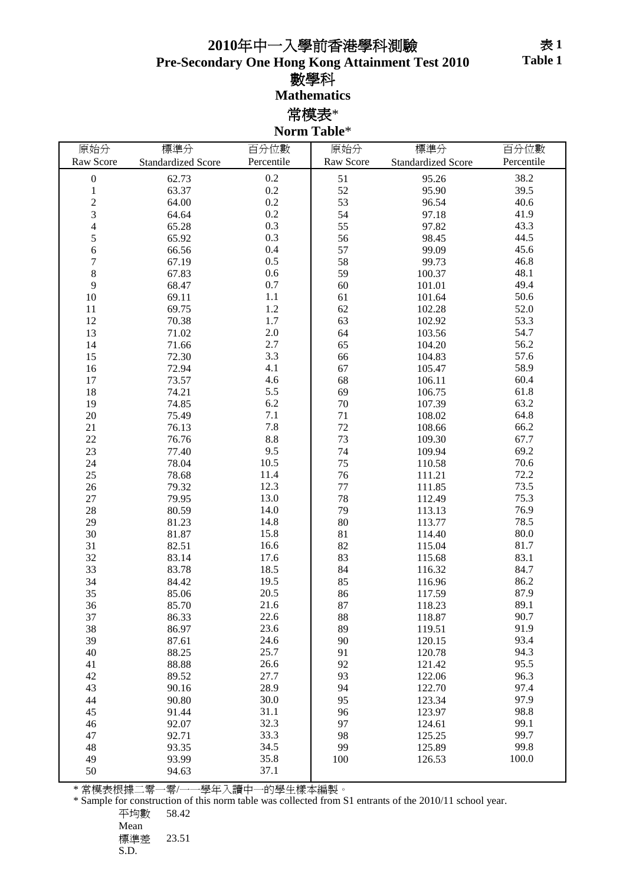## 年中一入學前香港學科測驗

**Pre-Secondary One Hong Kong Attainment Test 2010**

數學科

**Mathematics**

常模表\*

**Norm Table**\*

| 原始分                      | 標準分                       | 百分位數            | 原始分       | 標準分                       | 百分位數       |
|--------------------------|---------------------------|-----------------|-----------|---------------------------|------------|
| Raw Score                | <b>Standardized Score</b> | Percentile      | Raw Score | <b>Standardized Score</b> | Percentile |
| $\boldsymbol{0}$         | 62.73                     | 0.2             | 51        | 95.26                     | 38.2       |
| $\,1\,$                  | 63.37                     | 0.2             | 52        | 95.90                     | 39.5       |
| $\overline{c}$           | 64.00                     | $0.2\,$         | 53        | 96.54                     | 40.6       |
| 3                        | 64.64                     | 0.2             | 54        | 97.18                     | 41.9       |
| $\overline{\mathcal{L}}$ | 65.28                     | 0.3             | 55        | 97.82                     | 43.3       |
| 5                        | 65.92                     | 0.3             | 56        | 98.45                     | 44.5       |
| $\sqrt{6}$               | 66.56                     | 0.4             | 57        | 99.09                     | 45.6       |
| $\overline{7}$           | 67.19                     | 0.5             | 58        | 99.73                     | 46.8       |
| $\,8\,$                  | 67.83                     | $0.6\,$         | 59        | 100.37                    | 48.1       |
| 9                        | 68.47                     | $0.7\,$         | 60        | 101.01                    | 49.4       |
| $10\,$                   | 69.11                     | $1.1\,$         | 61        | 101.64                    | 50.6       |
| 11                       | 69.75                     | $1.2\,$         | 62        | 102.28                    | 52.0       |
| 12                       | 70.38                     | 1.7             | 63        | 102.92                    | 53.3       |
| 13                       | 71.02                     | 2.0             | 64        | 103.56                    | 54.7       |
| 14                       | 71.66                     | $2.7\,$         | 65        | 104.20                    | 56.2       |
| 15                       | 72.30                     | 3.3             | 66        | 104.83                    | 57.6       |
| 16                       | 72.94                     | 4.1             | 67        | 105.47                    | 58.9       |
| 17                       | 73.57                     | 4.6             | 68        | 106.11                    | 60.4       |
| 18                       | 74.21                     | 5.5             | 69        | 106.75                    | 61.8       |
| 19                       | 74.85                     | 6.2             | $70\,$    | 107.39                    | 63.2       |
| $20\,$                   | 75.49                     | 7.1             | 71        | 108.02                    | 64.8       |
| 21                       | 76.13                     | 7.8             | 72        | 108.66                    | 66.2       |
| 22                       | 76.76                     | $\!\!\!\!\!8.8$ | 73        | 109.30                    | 67.7       |
| 23                       | 77.40                     | 9.5             | 74        | 109.94                    | 69.2       |
| 24                       | 78.04                     | $10.5\,$        | 75        | 110.58                    | 70.6       |
| 25                       | 78.68                     | 11.4            | 76        | 111.21                    | 72.2       |
| $26\,$                   | 79.32                     | 12.3            | 77        | 111.85                    | 73.5       |
| $27\,$                   | 79.95                     | 13.0            | 78        | 112.49                    | 75.3       |
| 28                       | 80.59                     | 14.0            | 79        | 113.13                    | 76.9       |
| 29                       | 81.23                     | 14.8            | 80        | 113.77                    | 78.5       |
| 30                       | 81.87                     | 15.8            | 81        | 114.40                    | 80.0       |
| 31                       | 82.51                     | 16.6            | 82        | 115.04                    | 81.7       |
| 32                       | 83.14                     | 17.6            | 83        | 115.68                    | 83.1       |
| 33                       | 83.78                     | 18.5            | 84        | 116.32                    | 84.7       |
| 34                       | 84.42                     | 19.5            | 85        | 116.96                    | 86.2       |
| 35                       | 85.06                     | 20.5            | 86        | 117.59                    | 87.9       |
| 36                       | 85.70                     | 21.6            | 87        | 118.23                    | 89.1       |
| 37                       | 86.33                     | 22.6            | 88        | 118.87                    | 90.7       |
| 38                       | 86.97                     | 23.6            | 89        | 119.51                    | 91.9       |
| 39                       | 87.61                     | 24.6            | 90        | 120.15                    | 93.4       |
| 40                       | 88.25                     | 25.7            | 91        | 120.78                    | 94.3       |
| 41                       | 88.88                     | 26.6            | 92        | 121.42                    | 95.5       |
| 42                       | 89.52                     | 27.7            | 93        | 122.06                    | 96.3       |
| 43                       | 90.16                     | 28.9            | 94        | 122.70                    | 97.4       |
| 44                       | 90.80                     | 30.0            | 95        | 123.34                    | 97.9       |
| 45                       | 91.44                     | 31.1            | 96        | 123.97                    | 98.8       |
| 46                       | 92.07                     | 32.3            | 97        | 124.61                    | 99.1       |
| 47                       | 92.71                     | 33.3            | 98        | 125.25                    | 99.7       |
| 48                       | 93.35                     | 34.5            | 99        | 125.89                    | 99.8       |
| 49                       | 93.99                     | 35.8            | 100       | 126.53                    | 100.0      |
| 50                       | 94.63                     | 37.1            |           |                           |            |
|                          |                           |                 |           |                           |            |

\* 常模表根據二零一零/一一學年入讀中一的學生樣本編製。

\* Sample for construction of this norm table was collected from S1 entrants of the 2010/11 school year.

Mean 標準差 23.51

S.D.

平均數 58.42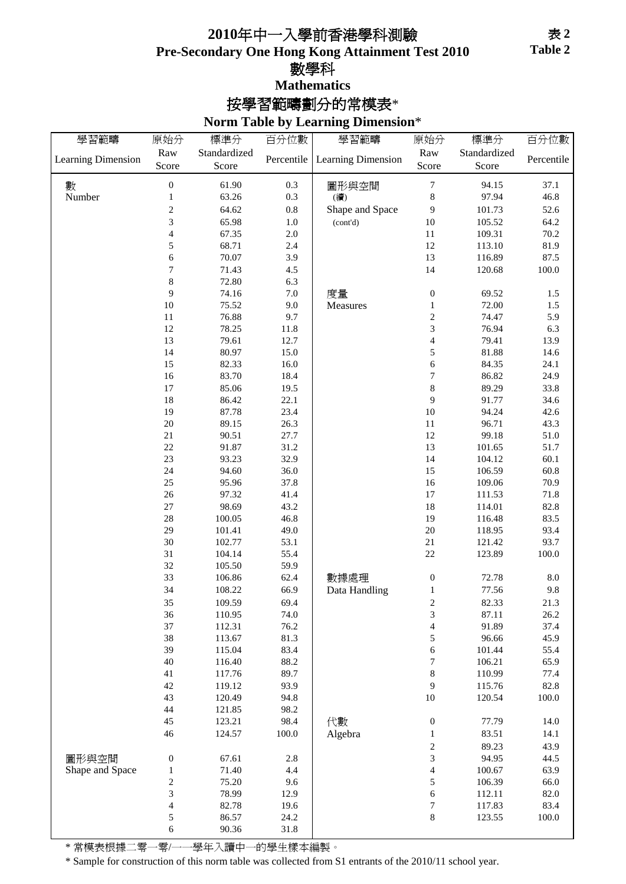### **Pre-Secondary One Hong Kong Attainment Test 2010** 數學科 **Mathematics** 年中一入學前香港學科測驗

## 按學習範疇劃分的常模表\*

#### **Norm Table by Learning Dimension**\*

| 學習範疇               | 原始分              | 標準分          | 百分位數       | 學習範疇               | 原始分                         | 標準分            | 百分位數       |
|--------------------|------------------|--------------|------------|--------------------|-----------------------------|----------------|------------|
|                    | Raw              | Standardized |            |                    | Raw                         | Standardized   |            |
| Learning Dimension | Score            | Score        | Percentile | Learning Dimension | Score                       | Score          | Percentile |
|                    |                  | 61.90        |            |                    |                             |                | 37.1       |
| 數<br>Number        | $\boldsymbol{0}$ |              | 0.3        | 圖形與空間              | $\boldsymbol{7}$<br>$\,8\,$ | 94.15<br>97.94 | 46.8       |
|                    | $\mathbf{1}$     | 63.26        | 0.3        | (續)                |                             |                |            |
|                    | $\overline{c}$   | 64.62        | $0.8\,$    | Shape and Space    | 9                           | 101.73         | 52.6       |
|                    | 3                | 65.98        | $1.0\,$    | (cont'd)           | 10                          | 105.52         | 64.2       |
|                    | $\overline{4}$   | 67.35        | $2.0\,$    |                    | $11\,$                      | 109.31         | 70.2       |
|                    | 5                | 68.71        | 2.4        |                    | $12\,$                      | 113.10         | 81.9       |
|                    | 6                | 70.07        | 3.9        |                    | 13                          | 116.89         | 87.5       |
|                    | 7                | 71.43        | 4.5        |                    | 14                          | 120.68         | $100.0\,$  |
|                    | 8                | 72.80        | 6.3        |                    |                             |                |            |
|                    | 9                | 74.16        | $7.0\,$    | 度量                 | $\boldsymbol{0}$            | 69.52          | 1.5        |
|                    | $10\,$           | 75.52        | 9.0        | Measures           | $\mathbf{1}$                | 72.00          | 1.5        |
|                    | $11\,$           | 76.88        | 9.7        |                    | $\sqrt{2}$                  | 74.47          | 5.9        |
|                    | 12               | 78.25        | 11.8       |                    | 3                           | 76.94          | 6.3        |
|                    | 13               | 79.61        | 12.7       |                    | $\overline{4}$              | 79.41          | 13.9       |
|                    | 14               | 80.97        | 15.0       |                    | 5                           | 81.88          | 14.6       |
|                    | 15               | 82.33        | 16.0       |                    | 6                           | 84.35          | 24.1       |
|                    | 16               | 83.70        | 18.4       |                    | $\sqrt{ }$                  | 86.82          | 24.9       |
|                    | 17               | 85.06        | 19.5       |                    | $\,$ 8 $\,$                 | 89.29          | 33.8       |
|                    | 18               | 86.42        | 22.1       |                    | 9                           | 91.77          | 34.6       |
|                    | 19               | 87.78        | 23.4       |                    | $10\,$                      | 94.24          | 42.6       |
|                    | 20               | 89.15        | 26.3       |                    | $11\,$                      | 96.71          | 43.3       |
|                    | $21\,$           | 90.51        | 27.7       |                    | 12                          | 99.18          | $51.0\,$   |
|                    | 22               | 91.87        | 31.2       |                    | 13                          | 101.65         | 51.7       |
|                    | 23               | 93.23        | 32.9       |                    | 14                          | 104.12         | 60.1       |
|                    | 24               | 94.60        | 36.0       |                    | 15                          | 106.59         | 60.8       |
|                    | 25               | 95.96        | 37.8       |                    | 16                          | 109.06         | 70.9       |
|                    | 26               | 97.32        | 41.4       |                    | $17\,$                      | 111.53         | 71.8       |
|                    | 27               | 98.69        | 43.2       |                    | 18                          | 114.01         | 82.8       |
|                    | 28               | 100.05       | 46.8       |                    | 19                          | 116.48         | 83.5       |
|                    | 29               | 101.41       | 49.0       |                    | $20\,$                      | 118.95         | 93.4       |
|                    | 30               | 102.77       | 53.1       |                    | $21\,$                      | 121.42         | 93.7       |
|                    | 31               | 104.14       | 55.4       |                    | 22                          | 123.89         | $100.0\,$  |
|                    | 32               | 105.50       | 59.9       |                    |                             |                |            |
|                    | 33               | 106.86       | 62.4       | 數據處理               | $\boldsymbol{0}$            | 72.78          | $8.0\,$    |
|                    | 34               | 108.22       | 66.9       | Data Handling      | $\mathbf{1}$                | 77.56          | 9.8        |
|                    | 35               | 109.59       | 69.4       |                    | $\overline{\mathbf{c}}$     | 82.33          | 21.3       |
|                    | 36               | 110.95       | 74.0       |                    | 3                           | 87.11          | 26.2       |
|                    | 37               | 112.31       | 76.2       |                    | $\overline{\mathcal{L}}$    | 91.89          | 37.4       |
|                    | 38               | 113.67       | 81.3       |                    | $\sqrt{5}$                  | 96.66          | 45.9       |
|                    | 39               | 115.04       | 83.4       |                    | $\sqrt{6}$                  | 101.44         | 55.4       |
|                    | $40\,$           | 116.40       | 88.2       |                    | $\overline{7}$              | 106.21         | 65.9       |
|                    | 41               | 117.76       | 89.7       |                    | $\,$ $\,$                   | 110.99         | 77.4       |
|                    | 42               | 119.12       | 93.9       |                    | 9                           | 115.76         | 82.8       |
|                    | 43               | 120.49       | 94.8       |                    | $10\,$                      | 120.54         | $100.0\,$  |
|                    | 44               | 121.85       | 98.2       |                    |                             |                |            |
|                    | 45               | 123.21       | 98.4       | 代數                 | $\boldsymbol{0}$            | 77.79          | 14.0       |
|                    | 46               | 124.57       | 100.0      | Algebra            | 1                           | 83.51          | 14.1       |
|                    |                  |              |            |                    | $\overline{\mathbf{c}}$     | 89.23          | 43.9       |
| 圖形與空間              | $\boldsymbol{0}$ | 67.61        | 2.8        |                    | 3                           | 94.95          | 44.5       |
| Shape and Space    | 1                | 71.40        | 4.4        |                    | $\overline{\mathcal{L}}$    | 100.67         | 63.9       |
|                    | $\overline{c}$   | 75.20        | 9.6        |                    | 5                           | 106.39         | 66.0       |
|                    | 3                | 78.99        | 12.9       |                    | $\sqrt{6}$                  | 112.11         | 82.0       |
|                    | 4                | 82.78        | 19.6       |                    | $\boldsymbol{7}$            | 117.83         | 83.4       |
|                    | 5                | 86.57        | 24.2       |                    | $\,8\,$                     | 123.55         | $100.0\,$  |
|                    | 6                | 90.36        | 31.8       |                    |                             |                |            |

\* 常模表根據二零一零/一一學年入讀中一的學生樣本編製。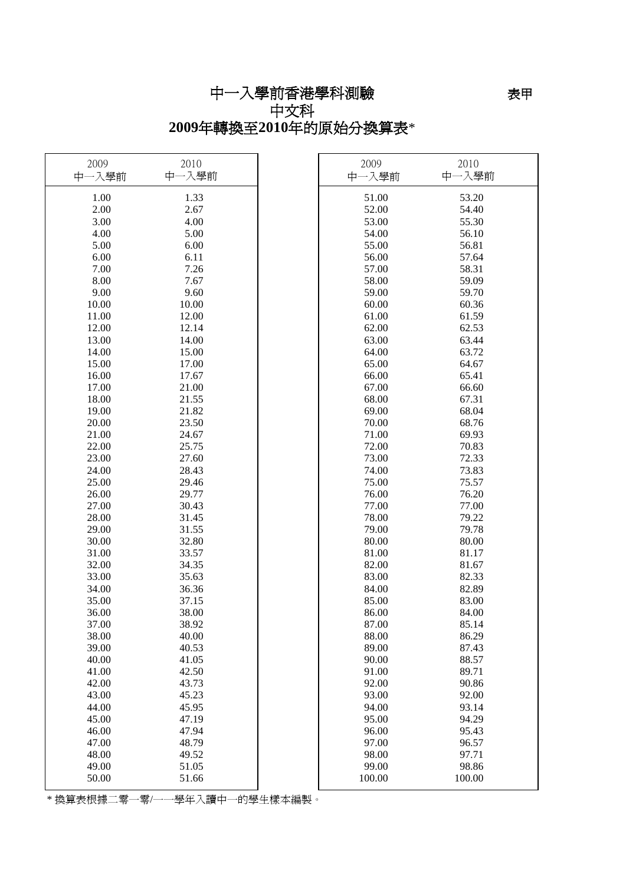# 中一入學前香港學科測驗

### 中文科 **2009**年轉換至**2010**年的原始分換算表\*

| 2009<br>中一入學前 | 2010<br>中一入學前 | 2009<br>中一入學前 | 2010<br>中一入學前 |
|---------------|---------------|---------------|---------------|
| 1.00          | 1.33          | 51.00         | 53.20         |
| 2.00          | 2.67          | 52.00         | 54.40         |
| 3.00          | 4.00          | 53.00         | 55.30         |
| 4.00          | 5.00          | 54.00         | 56.10         |
| 5.00          | 6.00          | 55.00         | 56.81         |
| 6.00          | 6.11          | 56.00         | 57.64         |
| 7.00          | 7.26          | 57.00         | 58.31         |
| 8.00          | 7.67          | 58.00         | 59.09         |
| 9.00          | 9.60          | 59.00         | 59.70         |
| 10.00         | 10.00         | 60.00         | 60.36         |
| 11.00         | 12.00         | 61.00         | 61.59         |
| 12.00         | 12.14         | 62.00         | 62.53         |
| 13.00         | 14.00         | 63.00         | 63.44         |
| 14.00         | 15.00         | 64.00         | 63.72         |
| 15.00         | 17.00         | 65.00         | 64.67         |
| 16.00         | 17.67         | 66.00         | 65.41         |
| 17.00         | 21.00         | 67.00         | 66.60         |
| 18.00         | 21.55         | 68.00         | 67.31         |
| 19.00         | 21.82         | 69.00         | 68.04         |
| 20.00         | 23.50         | 70.00         | 68.76         |
| 21.00         | 24.67         | 71.00         | 69.93         |
| 22.00         | 25.75         | 72.00         | 70.83         |
| 23.00         | 27.60         | 73.00         | 72.33         |
| 24.00         | 28.43         | 74.00         | 73.83         |
| 25.00         | 29.46         | 75.00         | 75.57         |
| 26.00         | 29.77         | 76.00         | 76.20         |
| 27.00         | 30.43         | 77.00         | 77.00         |
| 28.00         | 31.45         | 78.00         | 79.22         |
| 29.00         | 31.55         | 79.00         | 79.78         |
| 30.00         | 32.80         | 80.00         | 80.00         |
| 31.00         | 33.57         | 81.00         | 81.17         |
| 32.00         | 34.35         | 82.00         | 81.67         |
| 33.00         | 35.63         | 83.00         | 82.33         |
| 34.00         | 36.36         | 84.00         | 82.89         |
| 35.00         | 37.15         | 85.00         | 83.00         |
| 36.00         | 38.00         | 86.00         | 84.00         |
| 37.00         | 38.92         | 87.00         | 85.14         |
| 38.00         | 40.00         | 88.00         | 86.29         |
| 39.00         | 40.53         | 89.00         | 87.43         |
| 40.00         | 41.05         | 90.00         | 88.57         |
| 41.00         | 42.50         | 91.00         | 89.71         |
| 42.00         | 43.73         | 92.00         | 90.86         |
| 43.00         | 45.23         | 93.00         | 92.00         |
| 44.00         | 45.95         | 94.00         | 93.14         |
| 45.00         | 47.19         | 95.00         | 94.29         |
| 46.00         | 47.94         | 96.00         | 95.43         |
| 47.00         | 48.79         | 97.00         | 96.57         |
| 48.00         | 49.52         | 98.00         | 97.71         |
| 49.00         | 51.05         | 99.00         | 98.86         |
| 50.00         | 51.66         | 100.00        | 100.00        |
|               |               |               |               |

\* 換算表根據二零一零/一一學年入讀中一的學生樣本編製。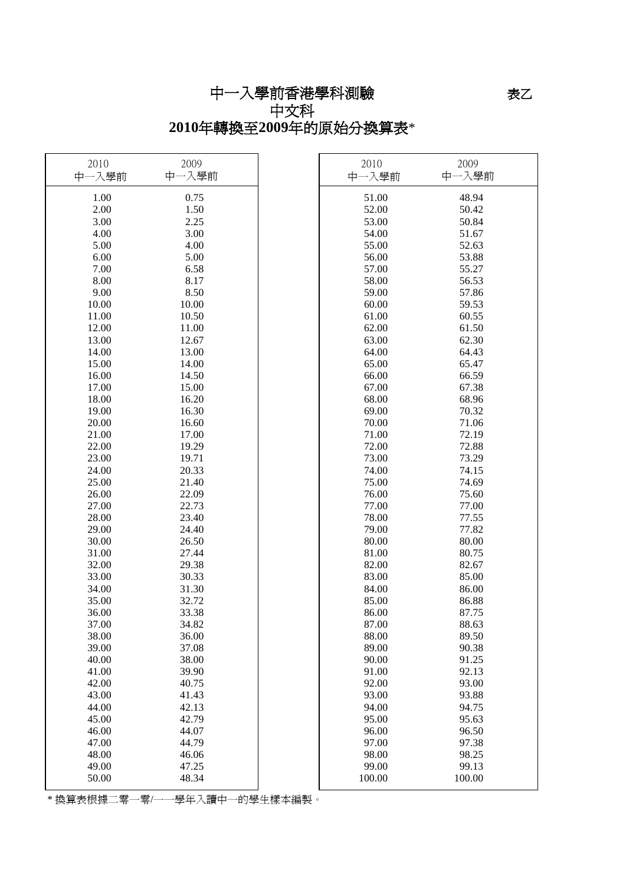# 中一入學前香港學科測驗

### 中文科 **2010**年轉換至**2009**年的原始分換算表\*

| 2010<br>中一入學前 | 2009<br>中一入學前 | 2010<br>中一入學前 | 2009<br>中一入學前 |
|---------------|---------------|---------------|---------------|
| 1.00          | 0.75          | 51.00         | 48.94         |
| 2.00          | 1.50          | 52.00         | 50.42         |
| 3.00          | 2.25          | 53.00         | 50.84         |
| 4.00          | 3.00          | 54.00         | 51.67         |
| 5.00          | 4.00          | 55.00         | 52.63         |
| 6.00          | 5.00          | 56.00         | 53.88         |
| 7.00          | 6.58          | 57.00         | 55.27         |
| 8.00          | 8.17          | 58.00         | 56.53         |
| 9.00          | 8.50          | 59.00         | 57.86         |
| 10.00         | 10.00         | 60.00         | 59.53         |
| 11.00         | 10.50         | 61.00         | 60.55         |
| 12.00         | 11.00         | 62.00         | 61.50         |
| 13.00         | 12.67         | 63.00         | 62.30         |
| 14.00         | 13.00         | 64.00         | 64.43         |
| 15.00         | 14.00         | 65.00         | 65.47         |
| 16.00         | 14.50         | 66.00         | 66.59         |
| 17.00         | 15.00         | 67.00         | 67.38         |
| 18.00         | 16.20         | 68.00         | 68.96         |
| 19.00         | 16.30         | 69.00         | 70.32         |
| 20.00         | 16.60         | 70.00         | 71.06         |
| 21.00         | 17.00         | 71.00         | 72.19         |
| 22.00         | 19.29         | 72.00         | 72.88         |
| 23.00         | 19.71         | 73.00         | 73.29         |
| 24.00         | 20.33         | 74.00         | 74.15         |
| 25.00         | 21.40         | 75.00         | 74.69         |
| 26.00         | 22.09         | 76.00         | 75.60         |
| 27.00         | 22.73         | 77.00         | 77.00         |
| 28.00         | 23.40         | 78.00         | 77.55         |
| 29.00         | 24.40         | 79.00         | 77.82         |
| 30.00         | 26.50         | 80.00         | 80.00         |
| 31.00         | 27.44         | 81.00         | 80.75         |
| 32.00         | 29.38         | 82.00         | 82.67         |
| 33.00         | 30.33         | 83.00         | 85.00         |
| 34.00         | 31.30         | 84.00         | 86.00         |
| 35.00         | 32.72         | 85.00         | 86.88         |
| 36.00         | 33.38         | 86.00         | 87.75         |
| 37.00         | 34.82         | 87.00         | 88.63         |
| 38.00         | 36.00         | 88.00         | 89.50         |
| 39.00         | 37.08         | 89.00         | 90.38         |
| 40.00         | 38.00         | 90.00         | 91.25         |
| 41.00         | 39.90         | 91.00         | 92.13         |
| 42.00         | 40.75         | 92.00         | 93.00         |
| 43.00         | 41.43         | 93.00         | 93.88         |
| 44.00         | 42.13         | 94.00         | 94.75         |
| 45.00         | 42.79         | 95.00         | 95.63         |
| 46.00         | 44.07         | 96.00         | 96.50         |
| 47.00         | 44.79         | 97.00         | 97.38         |
| 48.00         | 46.06         | 98.00         | 98.25         |
| 49.00         | 47.25         | 99.00         | 99.13         |
| 50.00         | 48.34         | 100.00        | 100.00        |

\* 換算表根據二零一零/一一學年入讀中一的學生樣本編製。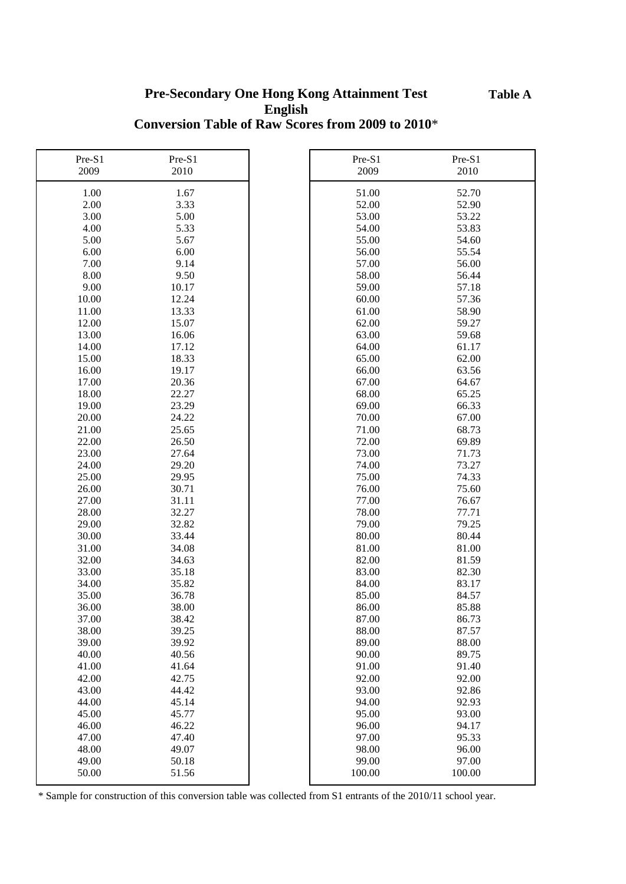**Table A**

#### **Pre-Secondary One Hong Kong Attainment Test English Conversion Table of Raw Scores from 2009 to 2010**\*

| Pre-S1         | Pre-S1         | Pre-S1         | Pre-S1         |
|----------------|----------------|----------------|----------------|
| 2009           | 2010           | 2009           | 2010           |
| 1.00           | 1.67           | 51.00          | 52.70          |
| 2.00           | 3.33           | 52.00          | 52.90          |
| 3.00           | 5.00           | 53.00          | 53.22          |
| 4.00           | 5.33           | 54.00          | 53.83          |
| 5.00           | 5.67           | 55.00          | 54.60          |
| 6.00           | 6.00           | 56.00          | 55.54          |
| 7.00           | 9.14           | 57.00          | 56.00          |
| 8.00           | 9.50           | 58.00          | 56.44          |
| 9.00           | 10.17          | 59.00          | 57.18          |
| 10.00          | 12.24          | 60.00          | 57.36          |
| 11.00          | 13.33          | 61.00          | 58.90          |
| 12.00          | 15.07          | 62.00          | 59.27          |
| 13.00          | 16.06          | 63.00          | 59.68          |
| 14.00          | 17.12          | 64.00          | 61.17          |
| 15.00          | 18.33          | 65.00          | 62.00          |
| 16.00          | 19.17          | 66.00          | 63.56          |
| 17.00          | 20.36          | 67.00          | 64.67          |
| 18.00          | 22.27          | 68.00          | 65.25          |
| 19.00          | 23.29          | 69.00          | 66.33          |
| 20.00          | 24.22          | 70.00          | 67.00          |
| 21.00          | 25.65          | 71.00          | 68.73          |
| 22.00          | 26.50          | 72.00          | 69.89          |
| 23.00          | 27.64          | 73.00          | 71.73          |
| 24.00          | 29.20          | 74.00          | 73.27          |
| 25.00          | 29.95          | 75.00          | 74.33          |
| 26.00          | 30.71          | 76.00          | 75.60          |
| 27.00          | 31.11          | 77.00          | 76.67          |
| 28.00          | 32.27          | 78.00          | 77.71          |
| 29.00          | 32.82          | 79.00          | 79.25          |
| 30.00          | 33.44          | 80.00          | 80.44          |
| 31.00          | 34.08          | 81.00          | 81.00          |
| 32.00          | 34.63          | 82.00          | 81.59          |
| 33.00          | 35.18          | 83.00          | 82.30          |
| 34.00          | 35.82          | 84.00          | 83.17          |
| 35.00          | 36.78          | 85.00          | 84.57          |
| 36.00          | 38.00          | 86.00          | 85.88          |
| 37.00          | 38.42          | 87.00          | 86.73          |
| 38.00          | 39.25          | 88.00          | 87.57          |
| 39.00          | 39.92          | 89.00          | 88.00          |
| 40.00          | 40.56          | 90.00          | 89.75          |
| 41.00          | 41.64          | 91.00          | 91.40          |
| 42.00          | 42.75          | 92.00          | 92.00          |
| 43.00          | 44.42          | 93.00          | 92.86          |
| 44.00          | 45.14          | 94.00          | 92.93          |
| 45.00<br>46.00 | 45.77          | 95.00          | 93.00          |
| 47.00          | 46.22<br>47.40 | 96.00<br>97.00 | 94.17<br>95.33 |
| 48.00          | 49.07          | 98.00          | 96.00          |
| 49.00          | 50.18          | 99.00          | 97.00          |
| 50.00          | 51.56          | 100.00         | 100.00         |
|                |                |                |                |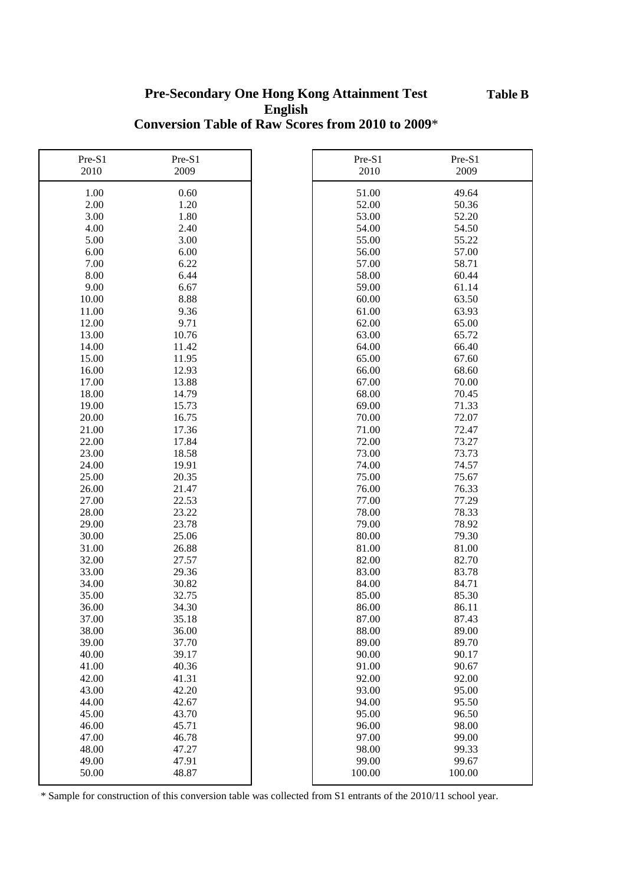**Table B**

#### **Pre-Secondary One Hong Kong Attainment Test English Conversion Table of Raw Scores from 2010 to 2009**\*

| Pre-S1 | Pre-S1 | Pre-S1 | Pre-S1 |
|--------|--------|--------|--------|
| 2010   | 2009   | 2010   | 2009   |
| 1.00   | 0.60   | 51.00  | 49.64  |
| 2.00   | 1.20   | 52.00  | 50.36  |
| 3.00   | 1.80   | 53.00  | 52.20  |
| 4.00   | 2.40   | 54.00  | 54.50  |
| 5.00   | 3.00   | 55.00  | 55.22  |
| 6.00   | 6.00   | 56.00  | 57.00  |
| 7.00   | 6.22   | 57.00  | 58.71  |
| 8.00   | 6.44   | 58.00  | 60.44  |
| 9.00   | 6.67   | 59.00  | 61.14  |
| 10.00  | 8.88   | 60.00  | 63.50  |
| 11.00  | 9.36   | 61.00  | 63.93  |
| 12.00  | 9.71   | 62.00  | 65.00  |
| 13.00  | 10.76  | 63.00  | 65.72  |
| 14.00  | 11.42  | 64.00  | 66.40  |
| 15.00  | 11.95  | 65.00  | 67.60  |
| 16.00  | 12.93  | 66.00  | 68.60  |
| 17.00  | 13.88  | 67.00  | 70.00  |
| 18.00  | 14.79  | 68.00  | 70.45  |
| 19.00  | 15.73  | 69.00  | 71.33  |
| 20.00  | 16.75  | 70.00  | 72.07  |
| 21.00  | 17.36  | 71.00  | 72.47  |
| 22.00  | 17.84  | 72.00  | 73.27  |
| 23.00  | 18.58  | 73.00  | 73.73  |
| 24.00  | 19.91  | 74.00  | 74.57  |
| 25.00  | 20.35  | 75.00  | 75.67  |
| 26.00  | 21.47  | 76.00  | 76.33  |
| 27.00  | 22.53  | 77.00  | 77.29  |
| 28.00  | 23.22  | 78.00  | 78.33  |
| 29.00  | 23.78  | 79.00  | 78.92  |
| 30.00  | 25.06  | 80.00  | 79.30  |
| 31.00  | 26.88  | 81.00  | 81.00  |
| 32.00  | 27.57  | 82.00  | 82.70  |
| 33.00  | 29.36  | 83.00  | 83.78  |
| 34.00  | 30.82  | 84.00  | 84.71  |
| 35.00  | 32.75  | 85.00  | 85.30  |
| 36.00  | 34.30  | 86.00  | 86.11  |
| 37.00  | 35.18  | 87.00  | 87.43  |
| 38.00  | 36.00  | 88.00  | 89.00  |
| 39.00  | 37.70  | 89.00  | 89.70  |
| 40.00  | 39.17  | 90.00  | 90.17  |
| 41.00  | 40.36  | 91.00  | 90.67  |
| 42.00  | 41.31  | 92.00  | 92.00  |
| 43.00  | 42.20  | 93.00  | 95.00  |
| 44.00  | 42.67  | 94.00  | 95.50  |
| 45.00  | 43.70  | 95.00  | 96.50  |
| 46.00  | 45.71  | 96.00  | 98.00  |
| 47.00  | 46.78  | 97.00  | 99.00  |
| 48.00  | 47.27  | 98.00  | 99.33  |
| 49.00  | 47.91  | 99.00  | 99.67  |
| 50.00  | 48.87  | 100.00 | 100.00 |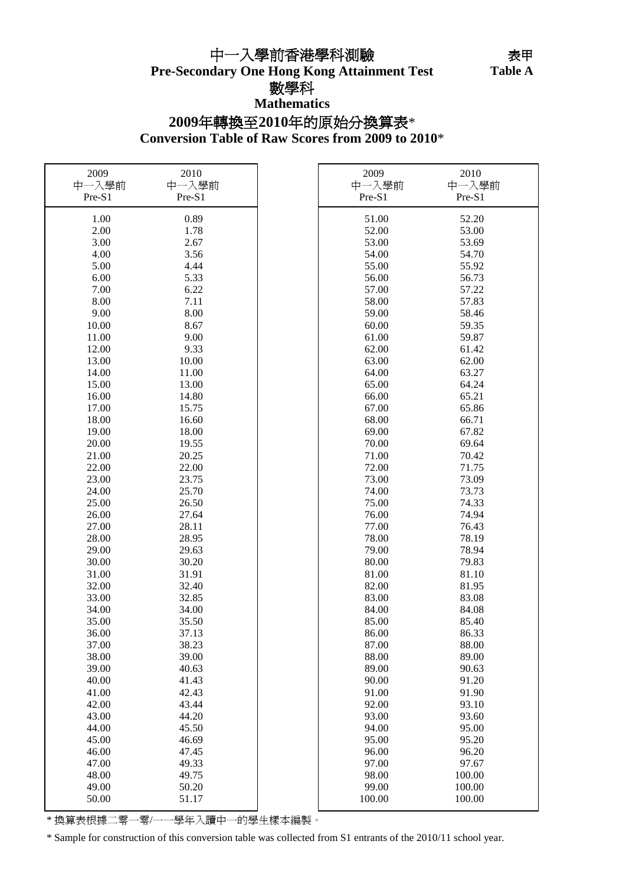**Pre-Secondary One Hong Kong Attainment Test** 中一入學前香港學科測驗

Table A

### 數學科

**Mathematics**

### **Conversion Table of Raw Scores from 2009 to 2010**\* **2009**年轉換至**2010**年的原始分換算表\*

| 2009   | 2010   | 2009   | 2010   |
|--------|--------|--------|--------|
| 中一入學前  | 中一入學前  | 中一入學前  | 中一入學前  |
| Pre-S1 | Pre-S1 | Pre-S1 | Pre-S1 |
| 1.00   | 0.89   | 51.00  | 52.20  |
| 2.00   | 1.78   | 52.00  | 53.00  |
| 3.00   | 2.67   | 53.00  | 53.69  |
| 4.00   | 3.56   | 54.00  | 54.70  |
| 5.00   | 4.44   | 55.00  | 55.92  |
| 6.00   | 5.33   | 56.00  | 56.73  |
| 7.00   | 6.22   | 57.00  | 57.22  |
| 8.00   | 7.11   | 58.00  | 57.83  |
| 9.00   | 8.00   | 59.00  | 58.46  |
| 10.00  | 8.67   | 60.00  | 59.35  |
| 11.00  | 9.00   | 61.00  | 59.87  |
| 12.00  | 9.33   | 62.00  | 61.42  |
|        |        |        |        |
| 13.00  | 10.00  | 63.00  | 62.00  |
| 14.00  | 11.00  | 64.00  | 63.27  |
| 15.00  | 13.00  | 65.00  | 64.24  |
| 16.00  | 14.80  | 66.00  | 65.21  |
| 17.00  | 15.75  | 67.00  | 65.86  |
| 18.00  | 16.60  | 68.00  | 66.71  |
| 19.00  | 18.00  | 69.00  | 67.82  |
| 20.00  | 19.55  | 70.00  | 69.64  |
| 21.00  | 20.25  | 71.00  | 70.42  |
| 22.00  | 22.00  | 72.00  | 71.75  |
| 23.00  | 23.75  | 73.00  | 73.09  |
| 24.00  | 25.70  | 74.00  | 73.73  |
| 25.00  | 26.50  | 75.00  | 74.33  |
| 26.00  | 27.64  | 76.00  | 74.94  |
| 27.00  | 28.11  | 77.00  | 76.43  |
| 28.00  | 28.95  | 78.00  | 78.19  |
| 29.00  | 29.63  | 79.00  | 78.94  |
| 30.00  | 30.20  | 80.00  | 79.83  |
| 31.00  | 31.91  | 81.00  | 81.10  |
| 32.00  | 32.40  | 82.00  | 81.95  |
| 33.00  | 32.85  | 83.00  | 83.08  |
| 34.00  | 34.00  | 84.00  | 84.08  |
| 35.00  | 35.50  | 85.00  | 85.40  |
| 36.00  | 37.13  | 86.00  | 86.33  |
| 37.00  | 38.23  | 87.00  | 88.00  |
| 38.00  | 39.00  | 88.00  | 89.00  |
| 39.00  | 40.63  | 89.00  | 90.63  |
| 40.00  | 41.43  | 90.00  | 91.20  |
| 41.00  | 42.43  | 91.00  | 91.90  |
| 42.00  | 43.44  | 92.00  | 93.10  |
| 43.00  | 44.20  | 93.00  | 93.60  |
| 44.00  | 45.50  | 94.00  | 95.00  |
| 45.00  | 46.69  | 95.00  | 95.20  |
| 46.00  | 47.45  | 96.00  | 96.20  |
| 47.00  | 49.33  | 97.00  | 97.67  |
| 48.00  | 49.75  | 98.00  | 100.00 |
| 49.00  | 50.20  | 99.00  | 100.00 |
|        |        |        |        |
| 50.00  | 51.17  | 100.00 | 100.00 |

\* 換算表根據二零一零/一一學年入讀中一的學生樣本編製。